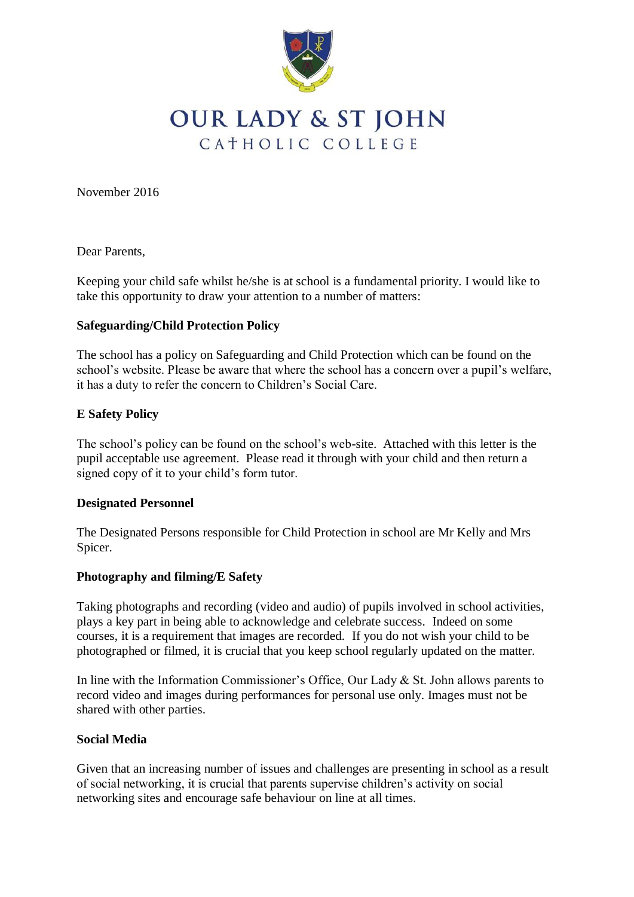

# **OUR LADY & ST JOHN** CATHOLIC COLLEGE

November 2016

Dear Parents,

Keeping your child safe whilst he/she is at school is a fundamental priority. I would like to take this opportunity to draw your attention to a number of matters:

# **Safeguarding/Child Protection Policy**

The school has a policy on Safeguarding and Child Protection which can be found on the school's website. Please be aware that where the school has a concern over a pupil's welfare, it has a duty to refer the concern to Children's Social Care.

#### **E Safety Policy**

The school's policy can be found on the school's web-site. Attached with this letter is the pupil acceptable use agreement. Please read it through with your child and then return a signed copy of it to your child's form tutor.

#### **Designated Personnel**

The Designated Persons responsible for Child Protection in school are Mr Kelly and Mrs Spicer.

# **Photography and filming/E Safety**

Taking photographs and recording (video and audio) of pupils involved in school activities, plays a key part in being able to acknowledge and celebrate success. Indeed on some courses, it is a requirement that images are recorded. If you do not wish your child to be photographed or filmed, it is crucial that you keep school regularly updated on the matter.

In line with the Information Commissioner's Office, Our Lady & St. John allows parents to record video and images during performances for personal use only. Images must not be shared with other parties.

# **Social Media**

Given that an increasing number of issues and challenges are presenting in school as a result of social networking, it is crucial that parents supervise children's activity on social networking sites and encourage safe behaviour on line at all times.